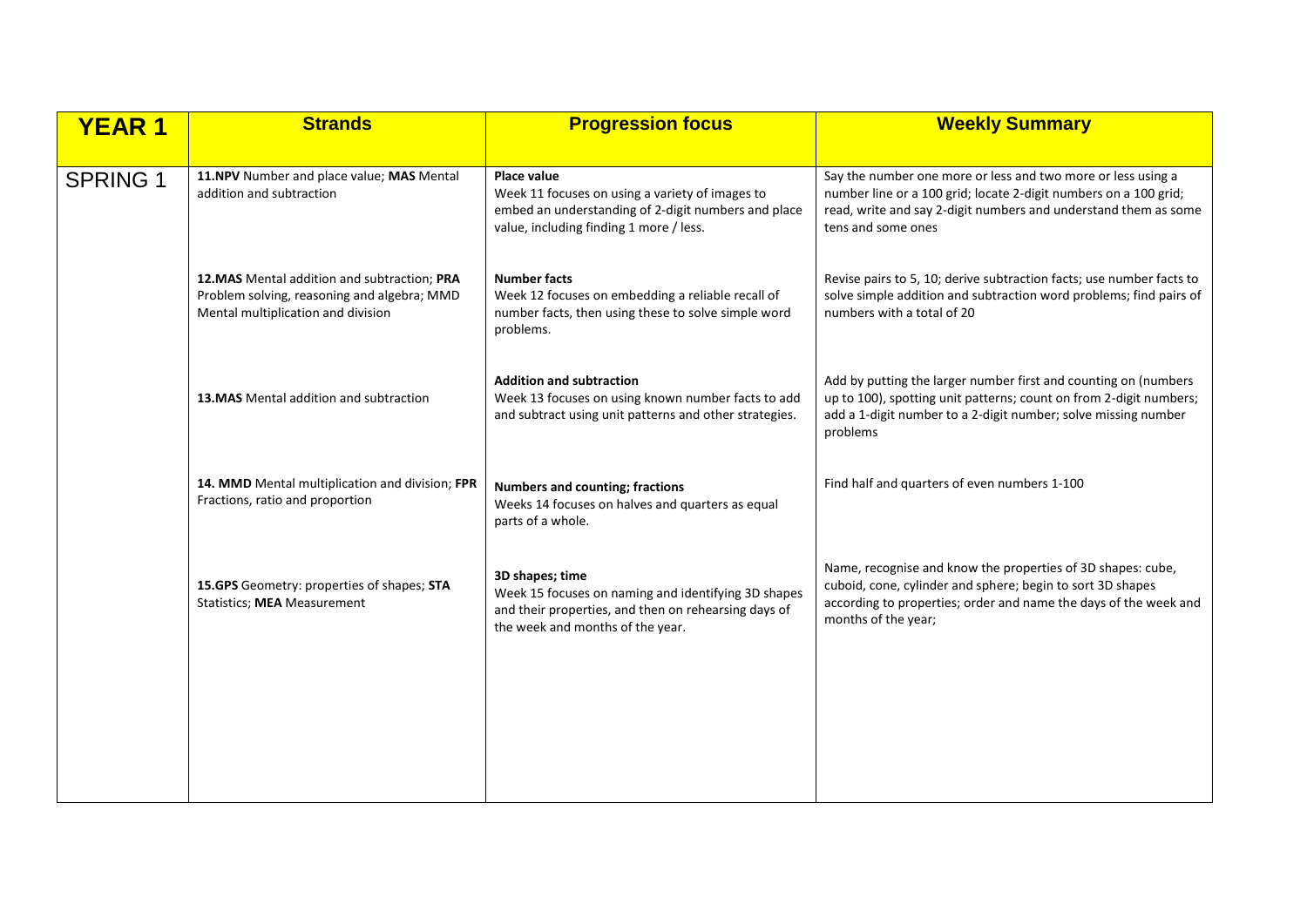| <b>YEAR1</b>    | <b>Strands</b>                                                                                                                    | <b>Progression focus</b>                                                                                                                                           | <b>Weekly Summary</b>                                                                                                                                                                                                     |
|-----------------|-----------------------------------------------------------------------------------------------------------------------------------|--------------------------------------------------------------------------------------------------------------------------------------------------------------------|---------------------------------------------------------------------------------------------------------------------------------------------------------------------------------------------------------------------------|
| <b>SPRING 1</b> | 11.NPV Number and place value; MAS Mental<br>addition and subtraction                                                             | Place value<br>Week 11 focuses on using a variety of images to<br>embed an understanding of 2-digit numbers and place<br>value, including finding 1 more / less.   | Say the number one more or less and two more or less using a<br>number line or a 100 grid; locate 2-digit numbers on a 100 grid;<br>read, write and say 2-digit numbers and understand them as some<br>tens and some ones |
|                 | 12. MAS Mental addition and subtraction; PRA<br>Problem solving, reasoning and algebra; MMD<br>Mental multiplication and division | <b>Number facts</b><br>Week 12 focuses on embedding a reliable recall of<br>number facts, then using these to solve simple word<br>problems.                       | Revise pairs to 5, 10; derive subtraction facts; use number facts to<br>solve simple addition and subtraction word problems; find pairs of<br>numbers with a total of 20                                                  |
|                 | 13. MAS Mental addition and subtraction                                                                                           | <b>Addition and subtraction</b><br>Week 13 focuses on using known number facts to add<br>and subtract using unit patterns and other strategies.                    | Add by putting the larger number first and counting on (numbers<br>up to 100), spotting unit patterns; count on from 2-digit numbers;<br>add a 1-digit number to a 2-digit number; solve missing number<br>problems       |
|                 | 14. MMD Mental multiplication and division; FPR<br>Fractions, ratio and proportion                                                | <b>Numbers and counting; fractions</b><br>Weeks 14 focuses on halves and quarters as equal<br>parts of a whole.                                                    | Find half and quarters of even numbers 1-100                                                                                                                                                                              |
|                 | 15.GPS Geometry: properties of shapes; STA<br><b>Statistics; MEA Measurement</b>                                                  | 3D shapes; time<br>Week 15 focuses on naming and identifying 3D shapes<br>and their properties, and then on rehearsing days of<br>the week and months of the year. | Name, recognise and know the properties of 3D shapes: cube,<br>cuboid, cone, cylinder and sphere; begin to sort 3D shapes<br>according to properties; order and name the days of the week and<br>months of the year;      |
|                 |                                                                                                                                   |                                                                                                                                                                    |                                                                                                                                                                                                                           |
|                 |                                                                                                                                   |                                                                                                                                                                    |                                                                                                                                                                                                                           |